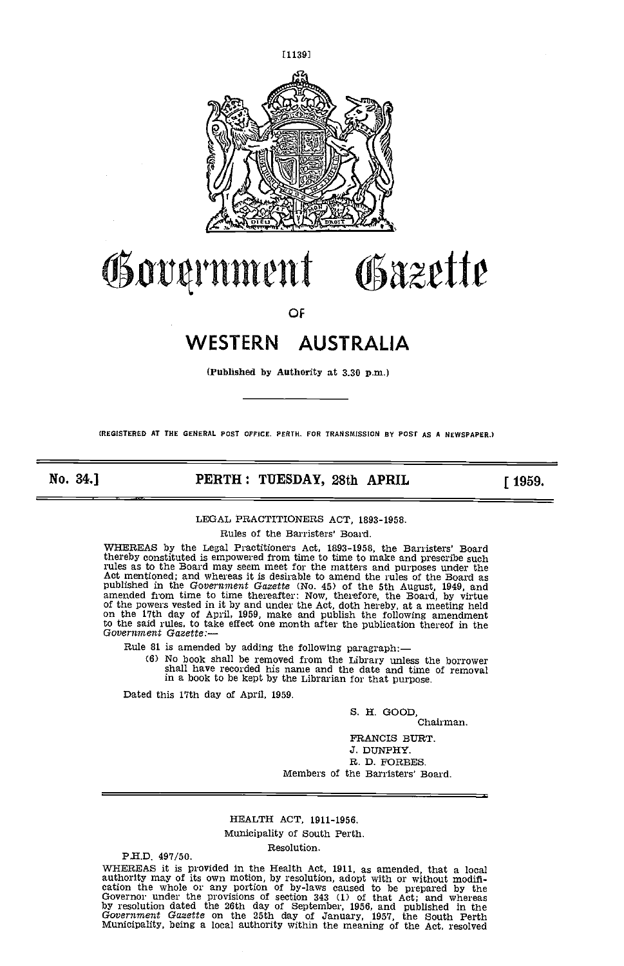

# Government Gazette

OF

# WESTERN AUSTRALIA

(Published by Authority at 3.30 p.m.)

(REGISTERED At THE GENERAL POST OFFICE. PERTH. FOR TRANSMISSION BY POST AS A NEWSPAPER.)

No. 34.] **PERTH: TUESDAY, 28th APRIL** [1959.

#### LEGAL PRACTITIONERS ACT, 1893-1958.

Rules of the Barristers' Board.

WHEREAS by the Legal Practitioners Act, 1893-1958, the Barristers' Board thereby constituted is empowered from time to time to make and prescribe such rules as to the Board may seem meet for the matters and purposes under the<br>Act mentioned; and whereas it is desirable to amend the rules of the Board as<br>published in the Government Gazette (No. 45) of the 5th August, 1949, amended from time to time thereafter: Now, therefore, the Board, by virtue of the powers vested in it by and under the Act, doth hereby, at a meeting held on the 17th day of April, 1959, make and publish the following amen to the said rules, to take effect one month after the publication thereof in the Government Gazette:—

Rule 81 is amended by adding the following paragraph:—<br>(6) No book shall be removed from the Library unless the borrower (6) No book shall be removed from the Library unless the borrower shall have recorded his name and the date and time of removal in a book to be kept by the Librarian for that purpose.

Dated this 17th day of April, 1959.

S. H. GOOD,

Chairman.

FRANCIS BURT. J. DUNPHY. R. D. FORBES. Members of the Barristers' Board.

## HEALTH ACT, 1911-1956. Municipality of South Perth.

Resolution.<br> **P.H.D.** 497/50.

WHEREAS it is provided in the Health Act, 1911, as amended, that a local authority may of its own motion, by resolution, adopt with or without modification the whole or any portion of by-laws caused to be prepared by the G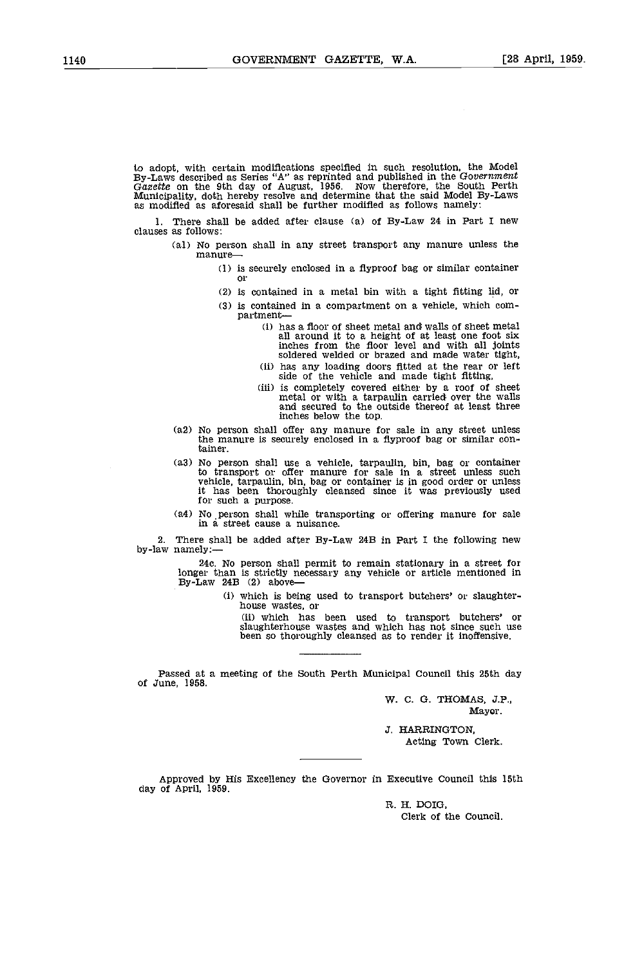to adopt, with certain modifications specified in such resolution, the Model By-Laws described as Series "A" as reprinted and published in the Government Gazette on the 9th day of August, 1956. Now therefore, the South Per

1. There shall be added after clause (a) of By-Law 24 in Part I new clauses as follows:

- (al) No person shall in any street transport any manure unless the manure
	- is securely enclosed in a fiyproof bag or similar container or
	- is contained in a metal bin with a tight fitting lid, or
	- $i$ ) is contained in a compartment on a vehicle, which compartment
		- has a floor of sheet metal and; walls of sheet metal all around it to a height of at least one foot six inches from the floor level and with all joints
		-
		- soldered welded or brazed and made water tight,<br>has any loading doors fitted at the rear or left<br>side of the vehicle and made tight fitting,<br>is completely covered either by a roof of sheet<br>metal or with a tarpaulin carried
- No person shall offer any manure for sale in any street unless the manure is securely enclosed in a flyproof bag or similar container.
- No person shall use a vehicle, tarpaulin, bin, bag or container<br>to transport or offer manure for sale in a street unless such<br>vehicle, tarpaulin, bin, bag or container is in good order or unless<br>it has been thoroughly clea for such a purpose.
- No person shall while transporting or offering manure for sale in a street cause a nuisance.

2. There shall be added after By-Law 24B in Part I the following new by-law namely:-

> 24c. No person shall permit to remain stationary in a street for longer than is strictly necessary any vehicle or article mentioned in By-Law 24B (2) above-

> > (i) which is being used to transport butchers' or slaughter- house wastes, or

(ii) which has been used to transport butchers' or slaughterhouse wastes and which has not since such use been so thoroughly cleansed as to render it inoffensive.

Passed at a meeting of the South Perth Municipal Council this 25th day of June, 1958.

> W. C. G. THOMAS, J.P., Mayor.

.5. HARRINGTON, Acting Town Clerk.

Approved by His Excellency the Governor in Executive Council this 15th day of April, 1959.

R. H. DOIG,

Clerk of the Council.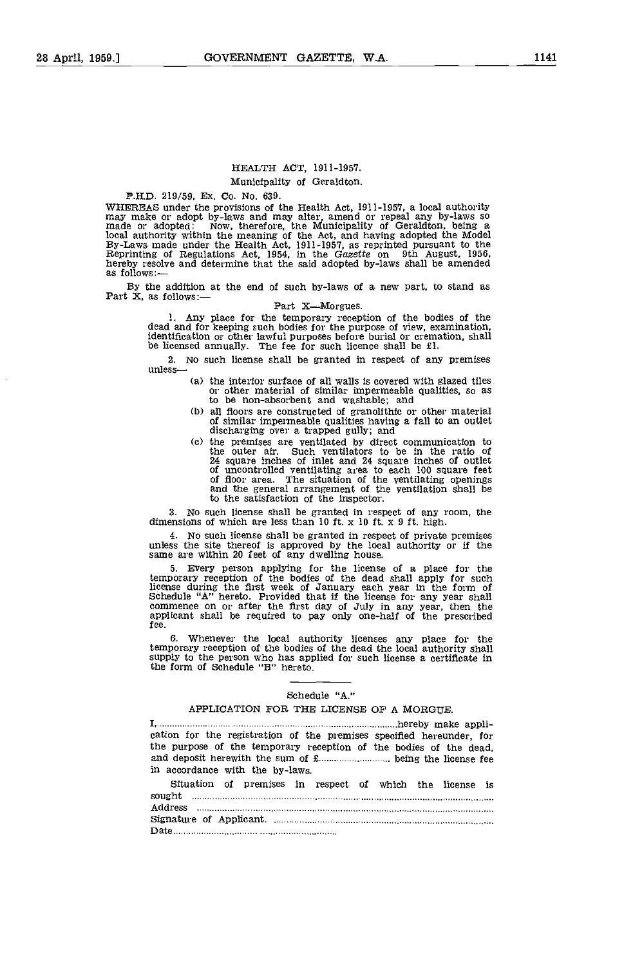#### HEALTH ACT, 1911-1957.

#### Municipality of Geraldton.

PH.D. 219/59, Ex. Co. No. 639. WHEREAS under the provisions of the Health Act, 1911-1957, a local authority may make or adopt by-laws and may alter, amend or repeal any by-laws so made or adopted: Now, therefore, the Municipality of Geraldton, being a local authority within the meaning of the Act, and having adopted the Model By-Laws made under the Health Act, 1911-1957, as reprinted pursuant to the Reprinting of Regulations Act, 1954, in the Gazette on 9th August, 1956

By the addition at the end of such by-laws of a new part, to stand as Part  $X$ , as follows: Part  $X$ —Morgues.

1. Any place for the temporary reception of the bodies of the dead and for keeping such bodies for the purpose of view, examination, identification or other lawful purposes before burial or cremation, shall be licensed an

2. No such license shall be granted in respect of any premises unless

- the interior surface of all walls is covered with glazed tiles or other material of similar impermeable qualities, so as to be non-absorbent and washable; and
- all floors are constructed of granolithic or other material of similar impermeable qualities having a fall to an outlet discharging over a trapped gully; and
- the premises are ventilated by direct communication to the outer air. Such ventilators to be in the ratio of 24 square inches of inlet and 24 square inches of outlet<br>of uncontrolled ventilating area to each 100 square feet<br>of floor area. The situation of the ventilating openings<br>and the general arrangement of the ventilation shal to the satisfaction of the inspector.

3. No such license shall be granted in respect of any room, the dimensions of which are less than 10 ft. x 10 ft. x 9 ft. high.

4. No such license shall be granted in respect of private premises unless the site thereof is approved by the local authority or if the same are within 20 feet of any dwelling house.

5. Every person applying for the license of a place for the temporary reception of the bodies of the dead shall apply for such license during the first week of January each year in the form of Schedule "A" hereto. Provided that if the license for any year shall commence on or after applicant shall be required to pay only one-half of the prescribed fee.

6. Whenever the local authority licenses any place for the temporary reception of the bodies of the dead the local authority shall supply to the person who has applied for such license a certificate in the form of Schedule "B" hereto.

#### Schedule "A."

#### APPLICATION FOR THE LICENSE OF A MORGUE.

| cation for the registration of the premises specified hereunder, for |  |
|----------------------------------------------------------------------|--|
| the purpose of the temporary reception of the bodies of the dead,    |  |
|                                                                      |  |
| in accordance with the by-laws                                       |  |

| Situation of premises in respect of which the license is |  |  |  |  |  |
|----------------------------------------------------------|--|--|--|--|--|
| sought                                                   |  |  |  |  |  |
| Address                                                  |  |  |  |  |  |
|                                                          |  |  |  |  |  |
|                                                          |  |  |  |  |  |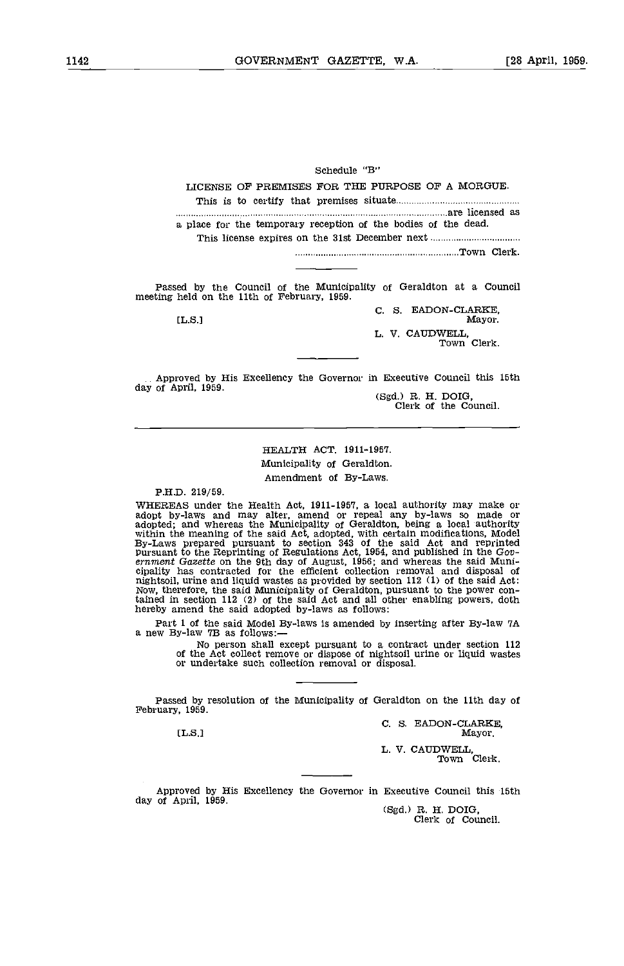Schedule "B"

LICENSE OF PREMISES FOR THE PURPOSE OF A MORGUE. This is to certify that premises situate are licensed as

a place for the temporary reception of the bodies of the dead. This license expires on the 31st December next Town Clerk.

Passed by the Council of the Municipality of Geraldton at a Council meeting held on the 11th of February, 1959.

C. S. EADON-CLARKE, Mayor. [L.S.] Mayor. L. V. CAUDWELL, Town Clerk.

Approved by His Excellency the Governor in Executive Council this 15th

(Sgd.) R. H. DOIG,<br>Clerk of the Council.

## HEALTH ACT. 1911-1957. Municipality of Geraldton. Amendment of By-Laws.

#### PH.D. 219/59.

WHEREAS under the Health Act, 1911-1957, a local authority may make or adopt by-laws and may alter, amend or repeal any by-laws so made or adopted; and whereas the Municipality of Geraldton, being a local authority within pursuant to the Reprinting of Regulations Act, 1954, and published in the Government Gazette on the 9th day of August, 1956; and whereas the said Municipality has contracted for the efficient collection removal and dispos tained in section 112 (2) of the said Act and all other enabling powers, doth hereby amend the said adopted by-laws as follows:

Part 1 of the said Model By-laws is amended by inserting after By-law 7A a new By-law 7B as follows:—

No person shall except pursuant to a contract under section 112 of the Act collect remove or dispose of nightsoll urine or liquid wastes or undertake such collection removal or disposal.

Passed by resolution of the Municipality of Geraldton on the 11th day of February, 1959.

C. S. EADON-CLARKE,<br>Mayor. [L.S.l Mayor.

L. V. CAUDWELL Town Clerk.

Approved by His Excellency the Governor in Executive Council this 15th day of April, 1959.<br>
(Sgd.) R. H. DOIG,<br>
Clerk of Council.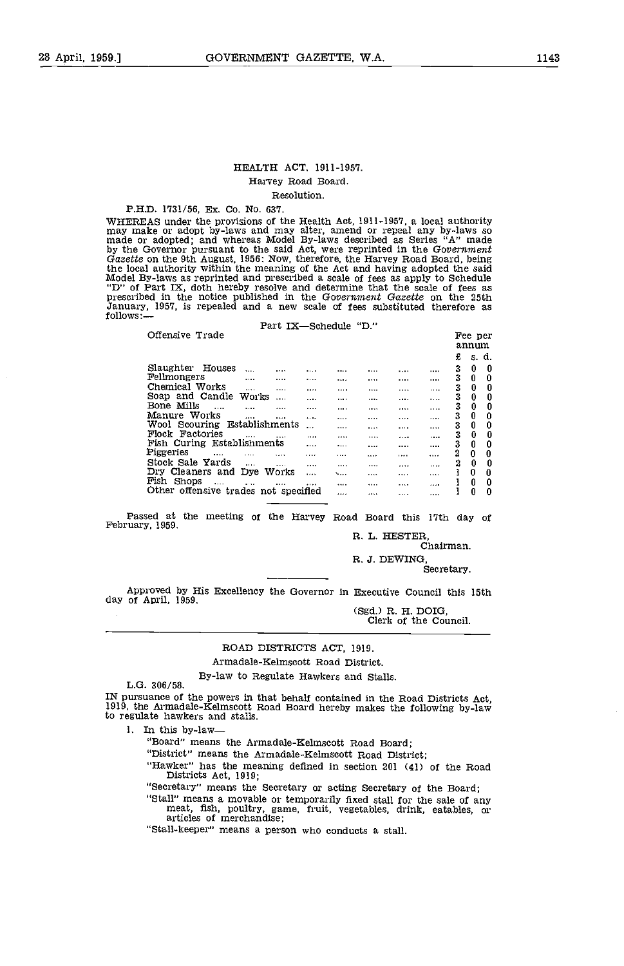#### HEALTH ACT, 1911-1951. Harvey Road Board. Resolution,

#### P.H.D. 1731/56, Ex. Co. No. 637.

WHEREAS under the provisions of the Health Act, 1911-1957, a local authority<br>may make or adopt by-laws and may alter, amend or repeal any by-laws so<br>made or adopted; and whereas Model By-laws described as Series 'A" made by the Governor pursuant to the said Act, were reprinted in the Government Gazette on the 9th August, 1956: Now, therefore, the Harvey Road Board, being the local authority within the meaning of the Act and having adopted the said Model By-laws as reprinted and prescribed a scale of fees as apply to Schedule "D" of Part IX, doth hereby resolve and determine that the scale of fees as prescribed in the notice published in the Government Gazette on the 25th January, 1951, is repealed and a new scale of fees substituted therefore as follows: Parts III<sup>I</sup>

| rari ix—schequie                         |         | . ט   |   |       |                    |
|------------------------------------------|---------|-------|---|-------|--------------------|
| Offensive Trade                          |         |       |   |       | Fee per            |
|                                          |         |       |   |       | annum              |
|                                          |         |       |   |       |                    |
|                                          |         |       |   |       | £<br>.s. d.        |
| Slaughter Houses<br>$\cdots$<br><br>     |         |       |   |       | 0<br>3<br>0        |
| Fellmongers<br><br><br>                  |         |       |   |       | 3<br>0<br>0        |
| Chemical Works<br>$\cdots$<br>.<br>      |         | 1.1.1 | . |       | 0<br>3<br>0        |
| Soap and Candle<br>Works<br>$\cdots$<br> |         | 1.117 | . |       | 3<br>0<br>0        |
| Bone Mills<br>$\cdots$<br><br>           |         |       |   |       | 3<br>0<br>0        |
| Manure Works                             | 1.1.1.1 | 1.1.1 |   |       | 0<br>3<br>0        |
| <br>1.1.1<br>                            |         |       |   | .     |                    |
| Establishments<br>Wool Scouring<br>      |         | .     | . |       | 0<br>0<br>3        |
| Flock Factories<br><br>.                 |         | .     | . | 1.1.1 | 0<br>0<br>3        |
| Fish Curing Establishments<br>           |         |       |   |       | 3<br>0<br>$\bf{0}$ |
| Piggeries<br><br>.<br>1.11<br>           |         |       |   |       | 2<br>0<br>0        |
| Stock Sale Yards<br>1.111<br><br>        | 1.1.1.1 |       |   |       | 2<br>0<br>0        |
| Dry Cleaners and Dye<br>Works            | ∖       |       |   |       | 0<br>0             |
| <br>Fish<br>Shops                        |         |       |   |       |                    |
| $\cdots$<br>$\cdots$<br><br>             |         |       |   |       | 0<br>0             |
| Other offensive trades not specified     |         |       |   |       | 0<br>0             |

Passed at the meeting of the Harvey Road Board this 17th day of February, 1959.<br>R. L. HESTER,<br>Chairman.

R. J. DEWING,<br>Secretary.

Approved by His Excellency the Governor in Executive Council this 15th day of April, 1959.

(Sgd.) R. H. DOIG,<br>Clerk of the Council.

#### ROAD DISTRICTS ACT, 1919.

Armadale-Kelmscott Road District.

By-law to Regulate Hawkers and Stalls. L.G. 306/58.

IN pursuance of the powers in that behalf contained in the Road Districts Act, 1919, the Armadale-Kelmscott Road Board hereby makes the following by-law to regulate hawkers and stalls.

1. In this by-law

"Board" means the Armadale-Kelmscott Road Board;

"District" means the Armadale-Kelmscott Road District;

"Hawker" has the meaning defined in section 201 (41) of the Road Districts Act, 1919;

"Secretary" means the Secretary or acting Secretary of the Board; meat, fish, poultry, game, fruit, vegetables, drink, eatables, or articles of merchandise;

"Stall-keeper" means a person who conducts a stall.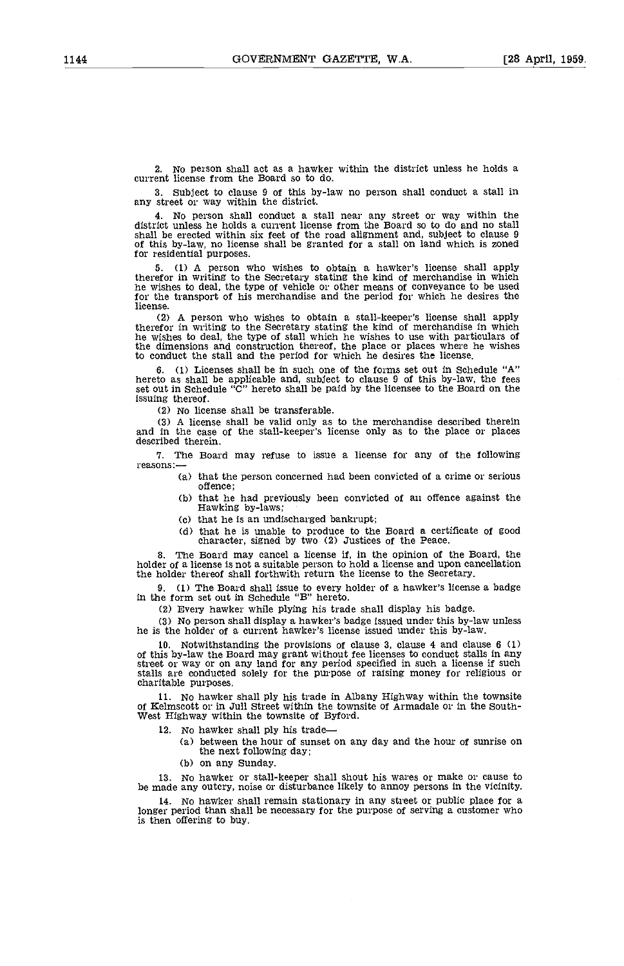2. No person shall act as a hawker within the district unless he holds a current license from the Board so to do.

3. Subject to clause 9 of this by-law no person shall conduct a stall in any street or way within the district.

4. No person shall conduct a stall near any street or way within the district unless he holds a current license from the Board so to do and no stall of this by-law, no license shall be granted for a stall on land which is zoned for residential purposes.

5. (1) A person who wishes to obtain a hawker's license shall apply therefor in writing to the Secretary stating the kind of merchandise in which he wishes to deal, the type of vehicle or other means of conveyance to be used for the transport of his merchandise and the period for which he desires the license.

(2) A person who wishes to obtain a stall-keeper's license shall apply therefor in writing to the Secretary stating the kind of merchandise in which he wishes to deal, the type of stall which he wishes to use with particulars of the dimensions and construction thereof, the place or places where he wishes to conduct the stall and the period for which he desires the license.

6. (1) Licenses shall be in such one of the forms set out in Schedule "A"<br>hereto as shall be applicable and, subject to clause 9 of this by-law, the fees<br>set out in Schedule "C" hereto shall be paid by the licensee to the issuing thereof.

(2) No license shall be transferable.

A license shall be valid oniy as to the merchandise described therein and in the case of the stall-keeper's license only as to the place or places described therein.

7. The Board may refuse to issue a license for any of the following reasons:

- $(a)$  that the person concerned had been convicted of a crime or serious offence:
	- that he had previously been convicted of an offence against the Hawking by-laws;
	- $(c)$  that he is an undischarged bankrupt;
- (d) that he is unable to produce to the Board a certificate of good character, signed by two (2) Justices of the Peace.

B. The Board may cancel a license if, in the opinion of the Board, the holder of a license is not a suitable person to hold a license and upon cancellation the holder thereof shall forthwith return the license to the Secretary.

9. (1) The Board shall issue to every holder of a hawker's license a badge in the form set out in Schedule "B" hereto.

Every hawker while plying his trade shall display his badge.

No person shall display a hawker's badge issued under this by-law unless he is the holder of a current hawker's license issued under this by-law.

10. Notwithstanding the provisions of clause 3, clause 4 and clause 6 (1) of this by-law the Board may grant without fee licenses to conduct stalls in any street or way or on any land for any period specified in such a license if such stalls are conducted solely for the purpose of raising money for religious or charitable purposes.

11. No hawker shall ply his trade in Albany Highway within the townsite of Kelmscott or in Jull Street within the townsite of Armadale or in the Southwest Highway within the townsite of Byford.

12. No hawker shall ply his trade

- between the hour of sunset on any day and the hour of sunrise on the next following day;
- (b) on any Sunday.

13. No hawker or stall-keeper shall shout his wares or make or cause to be made any outcry, noise or disturbance likely to annoy persons in the vicinity.

14. No hawker shall remain stationary in any street or public place for a longer period than shall be necessary for the purpose of serving a customer who is then offering to buy.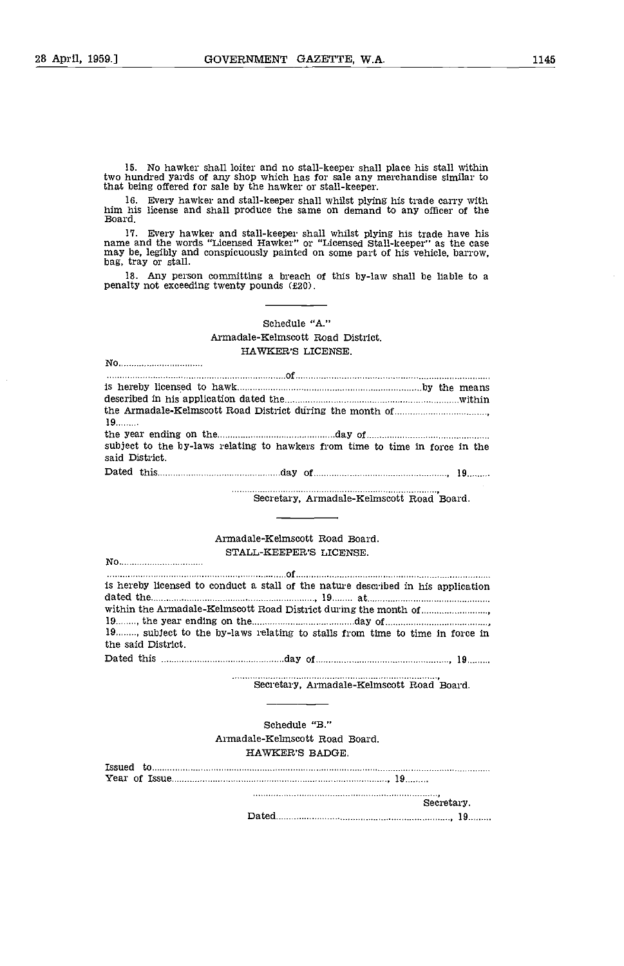No hawker shall loiter and no stall-keeper shall place his stall within two hundred yards of any shop which has for sale any merchandise similar to that being offered for sale by the hawker or stall-keeper.

Every hawker and stall-keeper shall whilst plying his trade carry with him his license and shall produce the same on demand to any officer of the Board.

17. Every hawker and stall-keeper shall whilst plying his trade have his name and the words "Licensed Hawker" or "Licensed Stall-keeper" as the case may be, legibly and conspicuously painted on some part of his vehicle, ba

Any person committing a breach of this by-law shall be liable to a penalty not exceeding twenty pounds (2O).

## Schedule "A." Armadale-Kelmscott Road District. HAWKER'S LICENSE.

| No                                                                                                             |  |
|----------------------------------------------------------------------------------------------------------------|--|
|                                                                                                                |  |
|                                                                                                                |  |
|                                                                                                                |  |
| 19                                                                                                             |  |
| the year ending on the manufacture and a state of the year ending on the manufacture of the year ending on the |  |
| subject to the by-laws relating to hawkers from time to time in force in the<br>said District.                 |  |
|                                                                                                                |  |

. . . . . . . Secretary, Armadale-Kelmscott Road 'Board.

Armadale-Kelmscott Road Board. STALL-KEEPER'S LICENSE.

No

| is hereby licensed to conduct a stall of the nature described in his application                                                                                                                                                    |
|-------------------------------------------------------------------------------------------------------------------------------------------------------------------------------------------------------------------------------------|
| dated the <u>manual communications</u> in the set of the set of the set of the set of the set of the set of the set of the set of the set of the set of the set of the set of the set of the set of the set of the set of the set o |
|                                                                                                                                                                                                                                     |
|                                                                                                                                                                                                                                     |
| 19, subject to the by-laws relating to stalls from time to time in force in                                                                                                                                                         |
| the said District.                                                                                                                                                                                                                  |
|                                                                                                                                                                                                                                     |

 $. . . . . . . .$ Secretary, Armadale-Kelmscott Road Board.

Schedule "B." Armadale-Kelmscott Road Board. HAWKER'S BADGE.

|  | Secretary. |  |  |  |
|--|------------|--|--|--|
|  |            |  |  |  |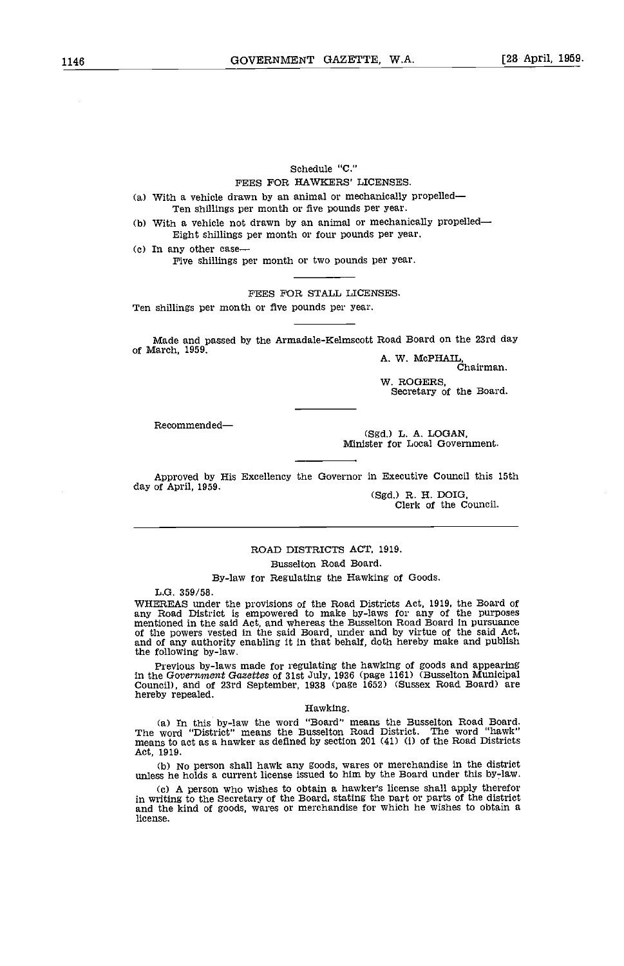# Schedule "C."

FEES FOR HAWKERS' LICENSES.

- With a vehicle drawn by an animal or mechanically propelled Ten shillings per month or five pounds per year.
- With a vehicle not drawn by an animal or mechanically propelled Eight shillings per month or four pounds per year.

(c) In any other case—<br>Five shillings per month or two pounds per year.

FEES FOR STALL LICENSES.

Ten shillings per month or five pounds per year.

Made and passed by the Arniadale-Kelmscott Road Board on the 23rd day of March, 1959. A. W. McPHAIL, Chairman.

W. ROGERS, Secretary of the Board.

Recommended-

(Sgd.) L. A. LOGAN, Minister for Local Government.

Approved by His Excellency the Governor in Executive Council this 15th day of April, 1959.

(Sgd.) R. H. DOIG, Clerk of the Council.

## ROAD DISTRICTS ACT, 1919. Busselton Road Board.

By-law for Regulating the Hawking of Goods.

L.G. 359/58.

WHEREAS under the provisions of the Road Districts Act, 1919, the Board of<br>any Road District is empowered to make by-laws for any of the purposes<br>mentioned in the said Act, and whereas the Busselton Road Board in pursuance the following by-law.

Previous by-laws made for regulating the hawking of goods and appearing in the Government Gazettes of 31st July, 1936 (page 1161) (Busselton Municipal Council), and of 23rd September, 1938 (page 1652) (Sussex Road Board) are hereby repealed.

#### Hawking.

In this by-law the word "Board" means the Busselton Road Board. The word "District" means the Busselton Road District. The word "hawk" means to act as a hawker as defined by section 201 (41) (1) of the Road Districts Act, 1919.

No person shall hawk any goods, wares or merchandise in the district unless he holds a current license issued to him by the Board under this by-law.

(c) A person who wishes to obtain a hawker's license shall apply therefor in writing to the Secretary of the Board, stating the part or parts of the district and the kind of goods, wares or merchandise for which he wishes to obtain a license.